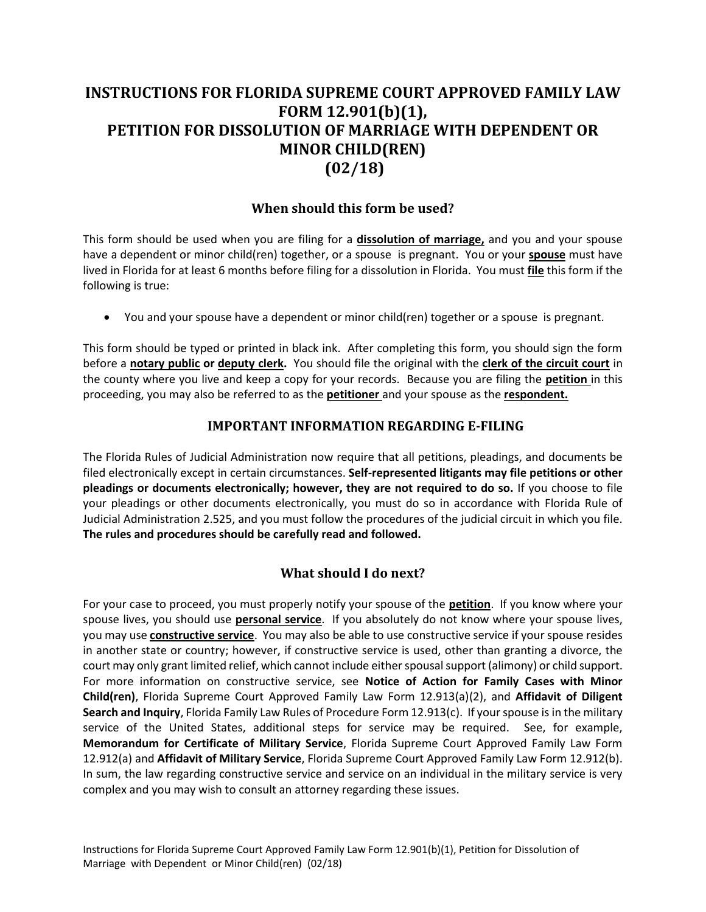# **INSTRUCTIONS FOR FLORIDA SUPREME COURT APPROVED FAMILY LAW FORM 12.901(b)(1), PETITION FOR DISSOLUTION OF MARRIAGE WITH DEPENDENT OR MINOR CHILD(REN) (02/18)**

## **When should this form be used?**

This form should be used when you are filing for a **dissolution of marriage,** and you and your spouse have a dependent or minor child(ren) together, or a spouse is pregnant. You or your **spouse** must have lived in Florida for at least 6 months before filing for a dissolution in Florida. You must **file** this form if the following is true:

You and your spouse have a dependent or minor child(ren) together or a spouse is pregnant.

This form should be typed or printed in black ink. After completing this form, you should sign the form before a **notary public or deputy clerk.** You should file the original with the **clerk of the circuit court** in the county where you live and keep a copy for your records. Because you are filing the **petition** in this proceeding, you may also be referred to as the **petitioner** and your spouse as the **respondent.** 

### **IMPORTANT INFORMATION REGARDING E-FILING**

The Florida Rules of Judicial Administration now require that all petitions, pleadings, and documents be filed electronically except in certain circumstances. **Self-represented litigants may file petitions or other pleadings or documents electronically; however, they are not required to do so.** If you choose to file your pleadings or other documents electronically, you must do so in accordance with Florida Rule of Judicial Administration 2.525, and you must follow the procedures of the judicial circuit in which you file. **The rules and procedures should be carefully read and followed.** 

## **What should I do next?**

For your case to proceed, you must properly notify your spouse of the **petition**. If you know where your spouse lives, you should use **personal service**. If you absolutely do not know where your spouse lives, you may use **constructive service**. You may also be able to use constructive service if your spouse resides in another state or country; however, if constructive service is used, other than granting a divorce, the court may only grant limited relief, which cannot include either spousal support (alimony) or child support. For more information on constructive service, see **Notice of Action for Family Cases with Minor Child(ren)**, Florida Supreme Court Approved Family Law Form 12.913(a)(2), and **Affidavit of Diligent Search and Inquiry**, Florida Family Law Rules of Procedure Form 12.913(c). If your spouse is in the military service of the United States, additional steps for service may be required. See, for example, **Memorandum for Certificate of Military Service**, Florida Supreme Court Approved Family Law Form 12.912(a) and **Affidavit of Military Service**, Florida Supreme Court Approved Family Law Form 12.912(b). In sum, the law regarding constructive service and service on an individual in the military service is very complex and you may wish to consult an attorney regarding these issues.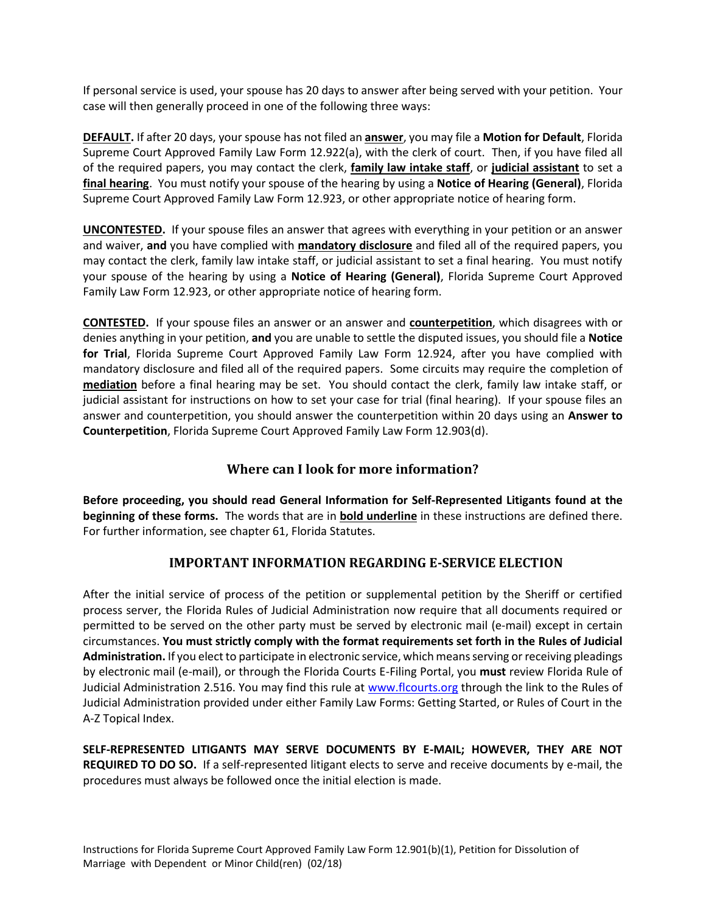If personal service is used, your spouse has 20 days to answer after being served with your petition. Your case will then generally proceed in one of the following three ways:

**DEFAULT.** If after 20 days, your spouse has not filed an **answer**, you may file a **Motion for Default**, Florida Supreme Court Approved Family Law Form 12.922(a), with the clerk of court. Then, if you have filed all of the required papers, you may contact the clerk, **family law intake staff**, or **judicial assistant** to set a **final hearing**. You must notify your spouse of the hearing by using a **Notice of Hearing (General)**, Florida Supreme Court Approved Family Law Form 12.923, or other appropriate notice of hearing form.

**UNCONTESTED.** If your spouse files an answer that agrees with everything in your petition or an answer and waiver, **and** you have complied with **mandatory disclosure** and filed all of the required papers, you may contact the clerk, family law intake staff, or judicial assistant to set a final hearing. You must notify your spouse of the hearing by using a **Notice of Hearing (General)**, Florida Supreme Court Approved Family Law Form 12.923, or other appropriate notice of hearing form.

**CONTESTED.** If your spouse files an answer or an answer and **counterpetition**, which disagrees with or denies anything in your petition, **and** you are unable to settle the disputed issues, you should file a **Notice for Trial**, Florida Supreme Court Approved Family Law Form 12.924, after you have complied with mandatory disclosure and filed all of the required papers. Some circuits may require the completion of **mediation** before a final hearing may be set. You should contact the clerk, family law intake staff, or judicial assistant for instructions on how to set your case for trial (final hearing). If your spouse files an answer and counterpetition, you should answer the counterpetition within 20 days using an **Answer to Counterpetition**, Florida Supreme Court Approved Family Law Form 12.903(d).

## **Where can I look for more information?**

**Before proceeding, you should read General Information for Self-Represented Litigants found at the beginning of these forms.** The words that are in **bold underline** in these instructions are defined there. For further information, see chapter 61, Florida Statutes.

## **IMPORTANT INFORMATION REGARDING E-SERVICE ELECTION**

After the initial service of process of the petition or supplemental petition by the Sheriff or certified process server, the Florida Rules of Judicial Administration now require that all documents required or permitted to be served on the other party must be served by electronic mail (e-mail) except in certain circumstances. **You must strictly comply with the format requirements set forth in the Rules of Judicial Administration.** If you elect to participate in electronic service, which means serving or receiving pleadings by electronic mail (e-mail), or through the Florida Courts E-Filing Portal, you **must** review Florida Rule of Judicial Administration 2.516. You may find this rule at [www.flcourts.org](http://www.flcourts.org/) through the link to the Rules of Judicial Administration provided under either Family Law Forms: Getting Started, or Rules of Court in the A-Z Topical Index.

**SELF-REPRESENTED LITIGANTS MAY SERVE DOCUMENTS BY E-MAIL; HOWEVER, THEY ARE NOT REQUIRED TO DO SO.** If a self-represented litigant elects to serve and receive documents by e-mail, the procedures must always be followed once the initial election is made.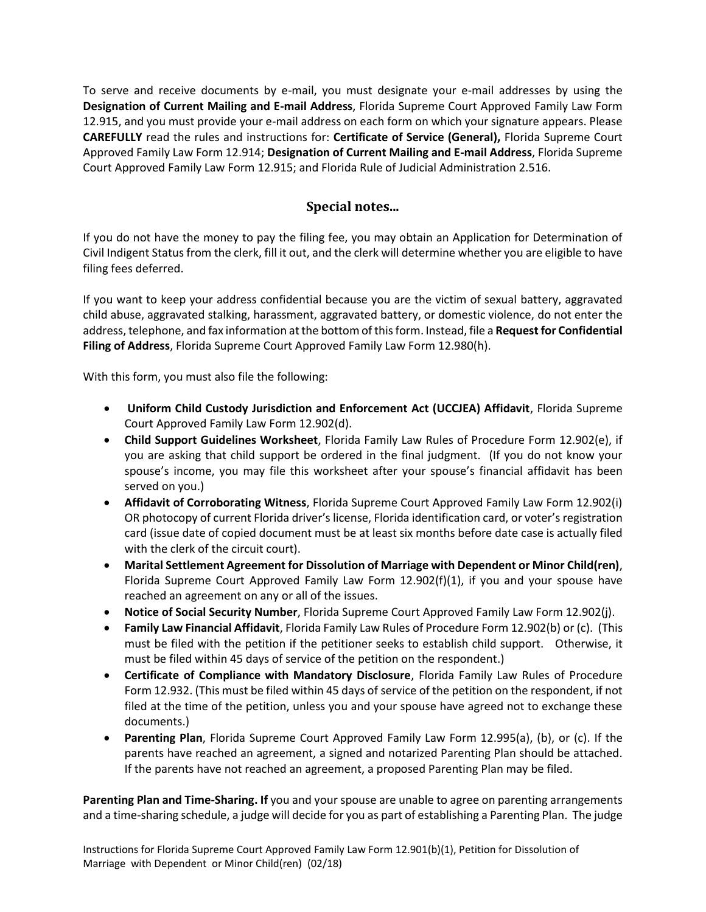To serve and receive documents by e-mail, you must designate your e-mail addresses by using the **Designation of Current Mailing and E-mail Address**, Florida Supreme Court Approved Family Law Form 12.915, and you must provide your e-mail address on each form on which your signature appears. Please **CAREFULLY** read the rules and instructions for: **Certificate of Service (General),** Florida Supreme Court Approved Family Law Form 12.914; **Designation of Current Mailing and E-mail Address**, Florida Supreme Court Approved Family Law Form 12.915; and Florida Rule of Judicial Administration 2.516.

## **Special notes...**

If you do not have the money to pay the filing fee, you may obtain an Application for Determination of Civil Indigent Status from the clerk, fill it out, and the clerk will determine whether you are eligible to have filing fees deferred.

If you want to keep your address confidential because you are the victim of sexual battery, aggravated child abuse, aggravated stalking, harassment, aggravated battery, or domestic violence, do not enter the address, telephone, and fax information at the bottom of thisform. Instead, file a **Request for Confidential Filing of Address**, Florida Supreme Court Approved Family Law Form 12.980(h).

With this form, you must also file the following:

- **Uniform Child Custody Jurisdiction and Enforcement Act (UCCJEA) Affidavit**, Florida Supreme Court Approved Family Law Form 12.902(d).
- **Child Support Guidelines Worksheet**, Florida Family Law Rules of Procedure Form 12.902(e), if you are asking that child support be ordered in the final judgment. (If you do not know your spouse's income, you may file this worksheet after your spouse's financial affidavit has been served on you.)
- **Affidavit of Corroborating Witness**, Florida Supreme Court Approved Family Law Form 12.902(i) OR photocopy of current Florida driver's license, Florida identification card, or voter's registration card (issue date of copied document must be at least six months before date case is actually filed with the clerk of the circuit court).
- **Marital Settlement Agreement for Dissolution of Marriage with Dependent or Minor Child(ren)**, Florida Supreme Court Approved Family Law Form 12.902(f)(1), if you and your spouse have reached an agreement on any or all of the issues.
- **Notice of Social Security Number**, Florida Supreme Court Approved Family Law Form 12.902(j).
- **Family Law Financial Affidavit**, Florida Family Law Rules of Procedure Form 12.902(b) or (c). (This must be filed with the petition if the petitioner seeks to establish child support. Otherwise, it must be filed within 45 days of service of the petition on the respondent.)
- **Certificate of Compliance with Mandatory Disclosure**, Florida Family Law Rules of Procedure Form 12.932. (This must be filed within 45 days of service of the petition on the respondent, if not filed at the time of the petition, unless you and your spouse have agreed not to exchange these documents.)
- **Parenting Plan**, Florida Supreme Court Approved Family Law Form 12.995(a), (b), or (c). If the parents have reached an agreement, a signed and notarized Parenting Plan should be attached. If the parents have not reached an agreement, a proposed Parenting Plan may be filed.

**Parenting Plan and Time-Sharing. If** you and your spouse are unable to agree on parenting arrangements and a time-sharing schedule, a judge will decide for you as part of establishing a Parenting Plan. The judge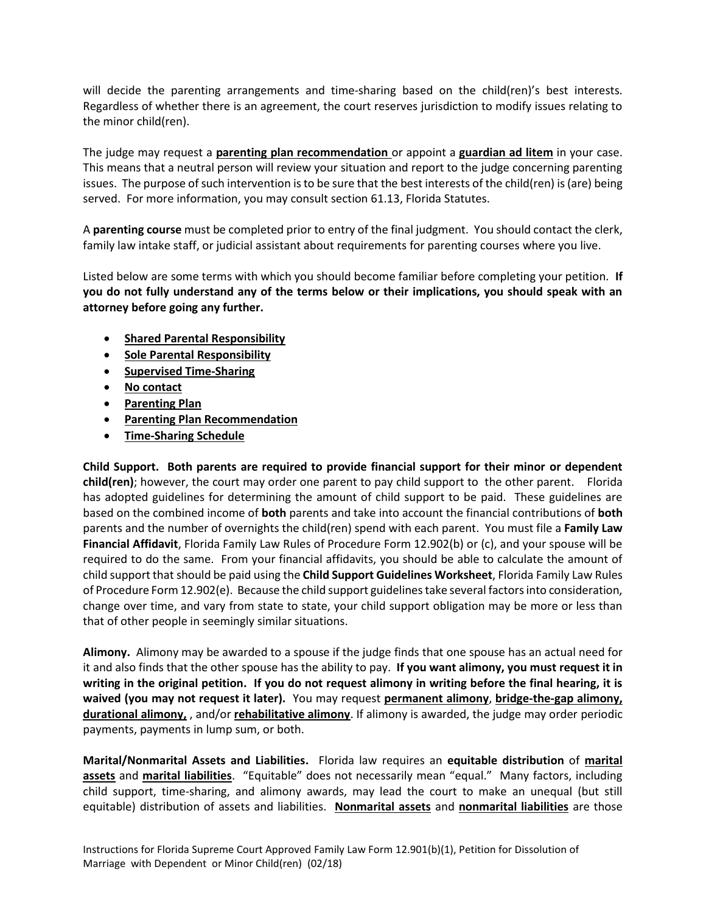will decide the parenting arrangements and time-sharing based on the child(ren)'s best interests. Regardless of whether there is an agreement, the court reserves jurisdiction to modify issues relating to the minor child(ren).

The judge may request a **parenting plan recommendation** or appoint a **guardian ad litem** in your case. This means that a neutral person will review your situation and report to the judge concerning parenting issues. The purpose of such intervention is to be sure that the best interests of the child(ren) is (are) being served. For more information, you may consult section 61.13, Florida Statutes.

A **parenting course** must be completed prior to entry of the final judgment. You should contact the clerk, family law intake staff, or judicial assistant about requirements for parenting courses where you live.

Listed below are some terms with which you should become familiar before completing your petition. **If you do not fully understand any of the terms below or their implications, you should speak with an attorney before going any further.**

- **Shared Parental Responsibility**
- **•** Sole Parental Responsibility
- **•** Supervised Time-Sharing
- **No contact**
- **Parenting Plan**
- **Parenting Plan Recommendation**
- **Time-Sharing Schedule**

**Child Support. Both parents are required to provide financial support for their minor or dependent child(ren)**; however, the court may order one parent to pay child support to the other parent. Florida has adopted guidelines for determining the amount of child support to be paid. These guidelines are based on the combined income of **both** parents and take into account the financial contributions of **both** parents and the number of overnights the child(ren) spend with each parent. You must file a **Family Law Financial Affidavit**, Florida Family Law Rules of Procedure Form 12.902(b) or (c), and your spouse will be required to do the same. From your financial affidavits, you should be able to calculate the amount of child support that should be paid using the **Child Support Guidelines Worksheet**, Florida Family Law Rules of Procedure Form 12.902(e). Because the child support guidelines take several factors into consideration, change over time, and vary from state to state, your child support obligation may be more or less than that of other people in seemingly similar situations.

**Alimony.** Alimony may be awarded to a spouse if the judge finds that one spouse has an actual need for it and also finds that the other spouse has the ability to pay. **If you want alimony, you must request it in writing in the original petition. If you do not request alimony in writing before the final hearing, it is waived (you may not request it later).** You may request **permanent alimony**, **bridge-the-gap alimony, durational alimony,** , and/or **rehabilitative alimony**. If alimony is awarded, the judge may order periodic payments, payments in lump sum, or both.

**Marital/Nonmarital Assets and Liabilities.** Florida law requires an **equitable distribution** of **marital assets** and **marital liabilities**. "Equitable" does not necessarily mean "equal." Many factors, including child support, time-sharing, and alimony awards, may lead the court to make an unequal (but still equitable) distribution of assets and liabilities. **Nonmarital assets** and **nonmarital liabilities** are those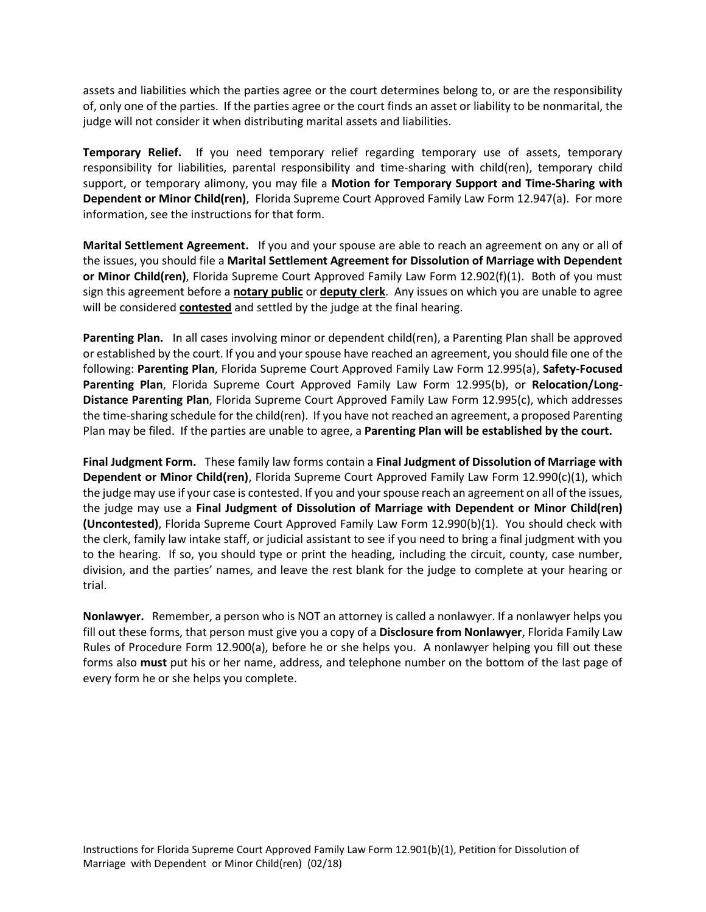assets and liabilities which the parties agree or the court determines belong to, or are the responsibility of, only one of the parties. If the parties agree or the court finds an asset or liability to be nonmarital, the judge will not consider it when distributing marital assets and liabilities.

**Temporary Relief.** If you need temporary relief regarding temporary use of assets, temporary responsibility for liabilities, parental responsibility and time-sharing with child(ren), temporary child support, or temporary alimony, you may file a **Motion for Temporary Support and Time-Sharing with Dependent or Minor Child(ren)**, Florida Supreme Court Approved Family Law Form 12.947(a). For more information, see the instructions for that form.

**Marital Settlement Agreement.** If you and your spouse are able to reach an agreement on any or all of the issues, you should file a **Marital Settlement Agreement for Dissolution of Marriage with Dependent or Minor Child(ren)**, Florida Supreme Court Approved Family Law Form 12.902(f)(1). Both of you must sign this agreement before a **notary public** or **deputy clerk**. Any issues on which you are unable to agree will be considered **contested** and settled by the judge at the final hearing.

**Parenting Plan.** In all cases involving minor or dependent child(ren), a Parenting Plan shall be approved or established by the court. If you and your spouse have reached an agreement, you should file one of the following: **Parenting Plan**, Florida Supreme Court Approved Family Law Form 12.995(a), **Safety-Focused Parenting Plan**, Florida Supreme Court Approved Family Law Form 12.995(b), or **Relocation/Long-Distance Parenting Plan**, Florida Supreme Court Approved Family Law Form 12.995(c), which addresses the time-sharing schedule for the child(ren). If you have not reached an agreement, a proposed Parenting Plan may be filed. If the parties are unable to agree, a **Parenting Plan will be established by the court.**

**Final Judgment Form.** These family law forms contain a **Final Judgment of Dissolution of Marriage with Dependent or Minor Child(ren)**, Florida Supreme Court Approved Family Law Form 12.990(c)(1), which the judge may use if your case is contested. If you and your spouse reach an agreement on all of the issues, the judge may use a **Final Judgment of Dissolution of Marriage with Dependent or Minor Child(ren) (Uncontested)**, Florida Supreme Court Approved Family Law Form 12.990(b)(1). You should check with the clerk, family law intake staff, or judicial assistant to see if you need to bring a final judgment with you to the hearing. If so, you should type or print the heading, including the circuit, county, case number, division, and the parties' names, and leave the rest blank for the judge to complete at your hearing or trial.

**Nonlawyer.** Remember, a person who is NOT an attorney is called a nonlawyer. If a nonlawyer helps you fill out these forms, that person must give you a copy of a **Disclosure from Nonlawyer**, Florida Family Law Rules of Procedure Form 12.900(a), before he or she helps you. A nonlawyer helping you fill out these forms also **must** put his or her name, address, and telephone number on the bottom of the last page of every form he or she helps you complete.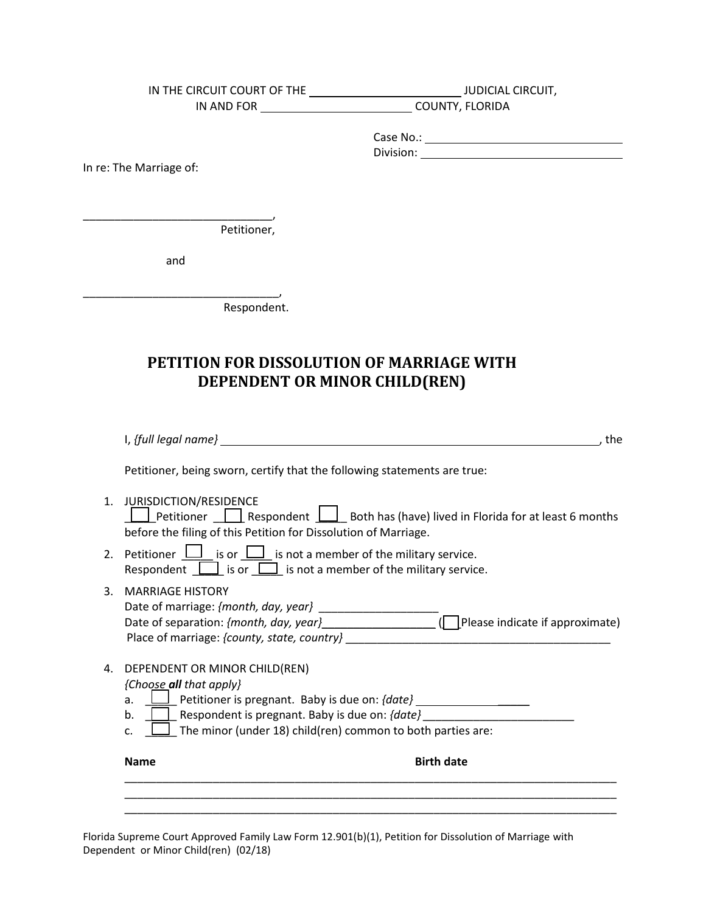IN THE CIRCUIT COURT OF THE \_\_\_\_\_\_\_\_\_\_\_\_\_\_\_\_\_\_\_\_\_\_\_\_\_\_\_\_\_\_\_\_\_\_JUDICIAL CIRCUIT, IN AND FOR COUNTY, FLORIDA

Case No.: Division:

In re: The Marriage of:

\_\_\_\_\_\_\_\_\_\_\_\_\_\_\_\_\_\_\_\_\_\_\_\_\_\_\_\_\_\_, Petitioner,

and

\_\_\_\_\_\_\_\_\_\_\_\_\_\_\_\_\_\_\_\_\_\_\_\_\_\_\_\_\_\_\_,

Respondent.

# **PETITION FOR DISSOLUTION OF MARRIAGE WITH DEPENDENT OR MINOR CHILD(REN)**

|    | $I,$ {full legal name} $\_\_\_\_\_\_\_\_\_\_\_\_\_\_\_\_\_\_\_\_\_$<br>the                                                                                                                                                            |
|----|---------------------------------------------------------------------------------------------------------------------------------------------------------------------------------------------------------------------------------------|
|    | Petitioner, being sworn, certify that the following statements are true:                                                                                                                                                              |
|    | 1. JURISDICTION/RESIDENCE<br><b>D</b> Petitioner $\Box$ Respondent $\Box$ Both has (have) lived in Florida for at least 6 months<br>before the filing of this Petition for Dissolution of Marriage.                                   |
| 2. | Petitioner $\boxed{\underline{\qquad}}$ is or $\boxed{\underline{\qquad}}$ is not a member of the military service.<br>Respondent $\Box$ is or $\Box$ is not a member of the military service.                                        |
| 3. | <b>MARRIAGE HISTORY</b><br>Place of marriage: {county, state, country} example and all the state of marriage: $\{country\}$                                                                                                           |
| 4. | DEPENDENT OR MINOR CHILD(REN)<br>{Choose all that apply}<br>a.<br>Respondent is pregnant. Baby is due on: {date} __________________________________<br>b.<br>$\Box$ The minor (under 18) child(ren) common to both parties are:<br>C. |
|    | <b>Birth date</b><br><b>Name</b>                                                                                                                                                                                                      |
|    |                                                                                                                                                                                                                                       |

\_\_\_\_\_\_\_\_\_\_\_\_\_\_\_\_\_\_\_\_\_\_\_\_\_\_\_\_\_\_\_\_\_\_\_\_\_\_\_\_\_\_\_\_\_\_\_\_\_\_\_\_\_\_\_\_\_\_\_\_\_\_\_\_\_\_\_\_\_\_\_\_\_\_\_\_\_\_

Florida Supreme Court Approved Family Law Form 12.901(b)(1), Petition for Dissolution of Marriage with Dependent or Minor Child(ren) (02/18)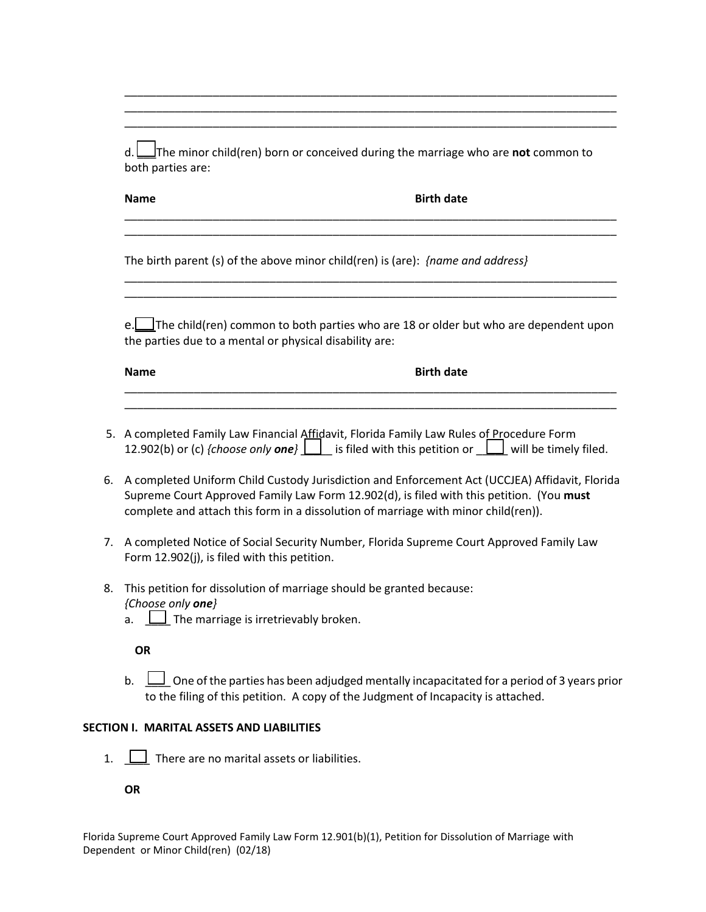|  |                   |  |  |  | d. $\Box$ The minor child(ren) born or conceived during the marriage who are <b>not</b> common to |
|--|-------------------|--|--|--|---------------------------------------------------------------------------------------------------|
|  | both parties are: |  |  |  |                                                                                                   |

\_\_\_\_\_\_\_\_\_\_\_\_\_\_\_\_\_\_\_\_\_\_\_\_\_\_\_\_\_\_\_\_\_\_\_\_\_\_\_\_\_\_\_\_\_\_\_\_\_\_\_\_\_\_\_\_\_\_\_\_\_\_\_\_\_\_\_\_\_\_\_\_\_\_\_\_\_\_ \_\_\_\_\_\_\_\_\_\_\_\_\_\_\_\_\_\_\_\_\_\_\_\_\_\_\_\_\_\_\_\_\_\_\_\_\_\_\_\_\_\_\_\_\_\_\_\_\_\_\_\_\_\_\_\_\_\_\_\_\_\_\_\_\_\_\_\_\_\_\_\_\_\_\_\_\_\_

\_\_\_\_\_\_\_\_\_\_\_\_\_\_\_\_\_\_\_\_\_\_\_\_\_\_\_\_\_\_\_\_\_\_\_\_\_\_\_\_\_\_\_\_\_\_\_\_\_\_\_\_\_\_\_\_\_\_\_\_\_\_\_\_\_\_\_\_\_\_\_\_\_\_\_\_\_\_ \_\_\_\_\_\_\_\_\_\_\_\_\_\_\_\_\_\_\_\_\_\_\_\_\_\_\_\_\_\_\_\_\_\_\_\_\_\_\_\_\_\_\_\_\_\_\_\_\_\_\_\_\_\_\_\_\_\_\_\_\_\_\_\_\_\_\_\_\_\_\_\_\_\_\_\_\_\_ \_\_\_\_\_\_\_\_\_\_\_\_\_\_\_\_\_\_\_\_\_\_\_\_\_\_\_\_\_\_\_\_\_\_\_\_\_\_\_\_\_\_\_\_\_\_\_\_\_\_\_\_\_\_\_\_\_\_\_\_\_\_\_\_\_\_\_\_\_\_\_\_\_\_\_\_\_\_

| I<br>ı<br>. .<br>۰,<br>× |
|--------------------------|
|--------------------------|

**Birth date** 

The birth parent (s) of the above minor child(ren) is (are): *{name and address}*

e.<sup>1</sup>The child(ren) common to both parties who are 18 or older but who are dependent upon the parties due to a mental or physical disability are:

\_\_\_\_\_\_\_\_\_\_\_\_\_\_\_\_\_\_\_\_\_\_\_\_\_\_\_\_\_\_\_\_\_\_\_\_\_\_\_\_\_\_\_\_\_\_\_\_\_\_\_\_\_\_\_\_\_\_\_\_\_\_\_\_\_\_\_\_\_\_\_\_\_\_\_\_\_\_ \_\_\_\_\_\_\_\_\_\_\_\_\_\_\_\_\_\_\_\_\_\_\_\_\_\_\_\_\_\_\_\_\_\_\_\_\_\_\_\_\_\_\_\_\_\_\_\_\_\_\_\_\_\_\_\_\_\_\_\_\_\_\_\_\_\_\_\_\_\_\_\_\_\_\_\_\_\_

\_\_\_\_\_\_\_\_\_\_\_\_\_\_\_\_\_\_\_\_\_\_\_\_\_\_\_\_\_\_\_\_\_\_\_\_\_\_\_\_\_\_\_\_\_\_\_\_\_\_\_\_\_\_\_\_\_\_\_\_\_\_\_\_\_\_\_\_\_\_\_\_\_\_\_\_\_\_ \_\_\_\_\_\_\_\_\_\_\_\_\_\_\_\_\_\_\_\_\_\_\_\_\_\_\_\_\_\_\_\_\_\_\_\_\_\_\_\_\_\_\_\_\_\_\_\_\_\_\_\_\_\_\_\_\_\_\_\_\_\_\_\_\_\_\_\_\_\_\_\_\_\_\_\_\_\_

**Name Birth date** 

- 5. A completed Family Law Financial Affidavit, Florida Family Law Rules of Procedure Form 12.902(b) or (c) *{choose only one}*  $\Box$  is filed with this petition or  $\Box$  will be timely filed.
- 6. A completed Uniform Child Custody Jurisdiction and Enforcement Act (UCCJEA) Affidavit, Florida Supreme Court Approved Family Law Form 12.902(d), is filed with this petition. (You **must** complete and attach this form in a dissolution of marriage with minor child(ren)).
- 7. A completed Notice of Social Security Number, Florida Supreme Court Approved Family Law Form 12.902(j), is filed with this petition.
- 8. This petition for dissolution of marriage should be granted because: *{Choose only one}*
	- a.  $\Box$  The marriage is irretrievably broken.

#### **OR**

b.  $\Box$  One of the parties has been adjudged mentally incapacitated for a period of 3 years prior to the filing of this petition. A copy of the Judgment of Incapacity is attached.

#### **SECTION I. MARITAL ASSETS AND LIABILITIES**

- 1.  $\Box$  There are no marital assets or liabilities.
	- **OR**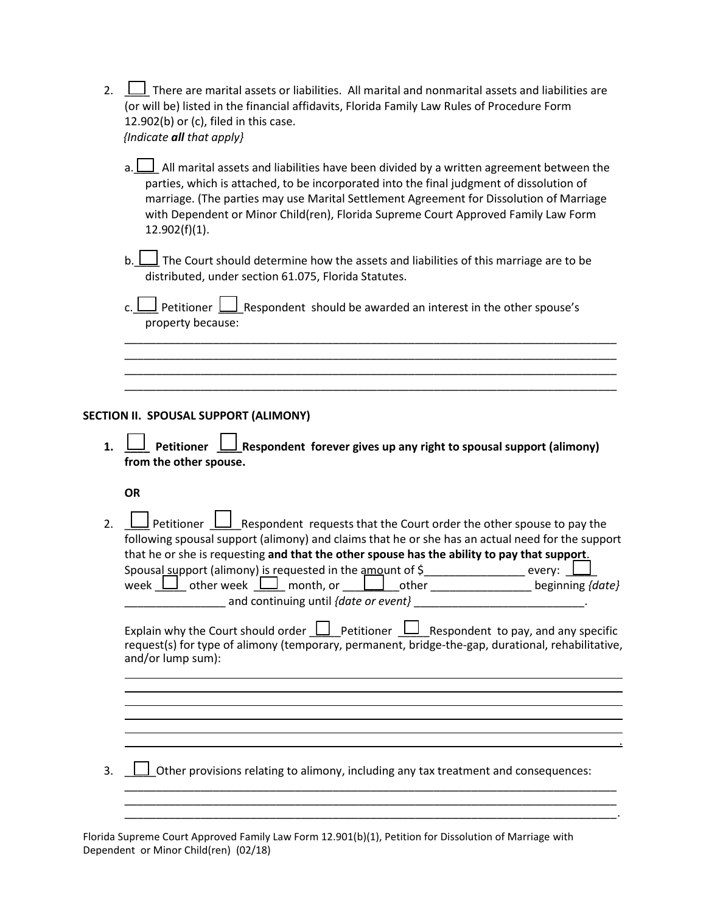- 2.  $\Box$  There are marital assets or liabilities. All marital and nonmarital assets and liabilities are (or will be) listed in the financial affidavits, Florida Family Law Rules of Procedure Form  $12.902(b)$  or (c), filed in this case.  *{Indicate all that apply}*
	- a.  $\Box$  All marital assets and liabilities have been divided by a written agreement between the parties, which is attached, to be incorporated into the final judgment of dissolution of marriage. (The parties may use Marital Settlement Agreement for Dissolution of Marriage with Dependent or Minor Child(ren), Florida Supreme Court Approved Family Law Form 12.902(f)(1).
	- b.  $\Box$  The Court should determine how the assets and liabilities of this marriage are to be distributed, under section 61.075, Florida Statutes.
	- $\epsilon$ .  $\Box$  Petitioner  $\Box$  Respondent should be awarded an interest in the other spouse's property because:

\_\_\_\_\_\_\_\_\_\_\_\_\_\_\_\_\_\_\_\_\_\_\_\_\_\_\_\_\_\_\_\_\_\_\_\_\_\_\_\_\_\_\_\_\_\_\_\_\_\_\_\_\_\_\_\_\_\_\_\_\_\_\_\_\_\_\_\_\_\_\_\_\_\_\_\_\_\_ \_\_\_\_\_\_\_\_\_\_\_\_\_\_\_\_\_\_\_\_\_\_\_\_\_\_\_\_\_\_\_\_\_\_\_\_\_\_\_\_\_\_\_\_\_\_\_\_\_\_\_\_\_\_\_\_\_\_\_\_\_\_\_\_\_\_\_\_\_\_\_\_\_\_\_\_\_\_ \_\_\_\_\_\_\_\_\_\_\_\_\_\_\_\_\_\_\_\_\_\_\_\_\_\_\_\_\_\_\_\_\_\_\_\_\_\_\_\_\_\_\_\_\_\_\_\_\_\_\_\_\_\_\_\_\_\_\_\_\_\_\_\_\_\_\_\_\_\_\_\_\_\_\_\_\_\_ \_\_\_\_\_\_\_\_\_\_\_\_\_\_\_\_\_\_\_\_\_\_\_\_\_\_\_\_\_\_\_\_\_\_\_\_\_\_\_\_\_\_\_\_\_\_\_\_\_\_\_\_\_\_\_\_\_\_\_\_\_\_\_\_\_\_\_\_\_\_\_\_\_\_\_\_\_\_

### **SECTION II. SPOUSAL SUPPORT (ALIMONY)**

1. **1.** Petitioner  $\Box$  Respondent forever gives up any right to spousal support (alimony) **from the other spouse.**

**OR**

2.  $\Box$  Petitioner  $\Box$  Respondent requests that the Court order the other spouse to pay the following spousal support (alimony) and claims that he or she has an actual need for the support that he or she is requesting **and that the other spouse has the ability to pay that support**. Spousal support (alimony) is requested in the amount of  $\zeta$  \_\_\_\_\_\_\_\_\_\_\_\_\_\_\_\_\_\_ every:  $\Box$ week <u>LJ</u> other week <u>LJ</u> month, or <u>LJ</u> other \_\_\_\_\_\_\_\_\_\_\_\_\_\_\_\_\_\_\_\_ beginning *{date}* \_\_\_\_\_\_\_\_\_\_\_\_\_\_\_\_ and continuing until *{date or event}* \_\_\_\_\_\_\_\_\_\_\_\_\_\_\_\_\_\_\_\_\_\_\_\_\_\_\_.

| Explain why the Court should order $\Box$ Petitioner $\Box$ Respondent to pay, and any specific   |
|---------------------------------------------------------------------------------------------------|
| request(s) for type of alimony (temporary, permanent, bridge-the-gap, durational, rehabilitative, |
| and/or lump sum):                                                                                 |

.

 $\mathsf{S}$ .  $\Box$  Other provisions relating to alimony, including any tax treatment and consequences:

\_\_\_\_\_\_\_\_\_\_\_\_\_\_\_\_\_\_\_\_\_\_\_\_\_\_\_\_\_\_\_\_\_\_\_\_\_\_\_\_\_\_\_\_\_\_\_\_\_\_\_\_\_\_\_\_\_\_\_\_\_\_\_\_\_\_\_\_\_\_\_\_\_\_\_\_\_\_ \_\_\_\_\_\_\_\_\_\_\_\_\_\_\_\_\_\_\_\_\_\_\_\_\_\_\_\_\_\_\_\_\_\_\_\_\_\_\_\_\_\_\_\_\_\_\_\_\_\_\_\_\_\_\_\_\_\_\_\_\_\_\_\_\_\_\_\_\_\_\_\_\_\_\_\_\_\_ \_\_\_\_\_\_\_\_\_\_\_\_\_\_\_\_\_\_\_\_\_\_\_\_\_\_\_\_\_\_\_\_\_\_\_\_\_\_\_\_\_\_\_\_\_\_\_\_\_\_\_\_\_\_\_\_\_\_\_\_\_\_\_\_\_\_\_\_\_\_\_\_\_\_\_\_\_\_.

| Florida Supreme Court Approved Family Law Form 12.901(b)(1), Petition for Dissolution of Marriage with |  |
|--------------------------------------------------------------------------------------------------------|--|
| Dependent or Minor Child(ren) (02/18)                                                                  |  |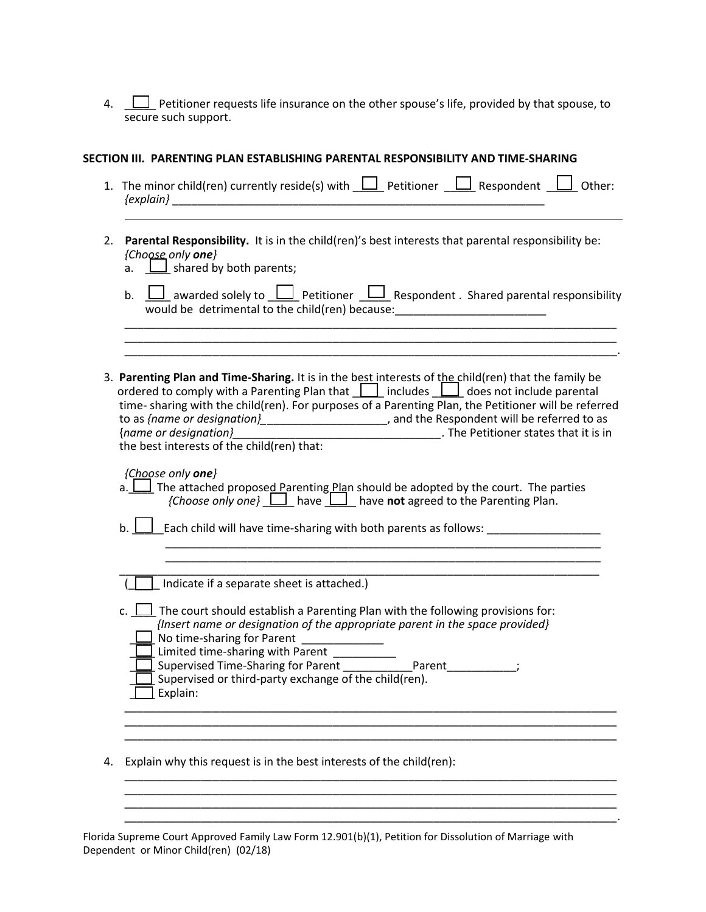4.  $\Box$  Petitioner requests life insurance on the other spouse's life, provided by that spouse, to secure such support.

#### **SECTION III. PARENTING PLAN ESTABLISHING PARENTAL RESPONSIBILITY AND TIME-SHARING**

- 1. The minor child(ren) currently reside(s) with  $\Box$  Petitioner  $\Box$  Respondent  $\Box$  Other: *{explain}* \_\_\_\_\_\_\_\_\_\_\_\_\_\_\_\_\_\_\_\_\_\_\_\_\_\_\_\_\_\_\_\_\_\_\_\_\_\_\_\_\_\_\_\_\_\_\_\_\_\_\_\_\_\_\_\_\_\_\_
- 2. **Parental Responsibility.** It is in the child(ren)'s best interests that parental responsibility be: *{Choose only one}*
	- $\Box$  shared by both parents;
	- b.  $\Box$  awarded solely to  $\Box$  Petitioner  $\Box$  Respondent . Shared parental responsibility would be detrimental to the child(ren) because: \_\_\_\_\_\_\_\_\_\_\_\_\_\_\_\_\_\_\_\_\_\_\_\_\_\_\_\_\_\_\_\_ \_\_\_\_\_\_\_\_\_\_\_\_\_\_\_\_\_\_\_\_\_\_\_\_\_\_\_\_\_\_\_\_\_\_\_\_\_\_\_\_\_\_\_\_\_\_\_\_\_\_\_\_\_\_\_\_\_\_\_\_\_\_\_\_\_\_\_\_\_\_\_\_\_\_\_\_\_\_

\_\_\_\_\_\_\_\_\_\_\_\_\_\_\_\_\_\_\_\_\_\_\_\_\_\_\_\_\_\_\_\_\_\_\_\_\_\_\_\_\_\_\_\_\_\_\_\_\_\_\_\_\_\_\_\_\_\_\_\_\_\_\_\_\_\_\_\_\_\_\_\_\_\_\_\_\_\_

3. **Parenting Plan and Time-Sharing.** It is in the best interests of the child(ren) that the family be ordered to comply with a Parenting Plan that  $\Box$  includes  $\Box$  does not include parental time- sharing with the child(ren). For purposes of a Parenting Plan, the Petitioner will be referred to as *{name or designation}\_*\_\_\_\_\_\_\_\_\_\_\_\_\_\_\_\_\_\_\_, and the Respondent will be referred to as {*name or designation}\_\_\_\_\_\_\_\_\_\_\_\_\_\_\_\_\_\_\_\_\_\_\_\_\_\_\_\_\_\_\_\_\_.* The Petitioner states that it is in

the best interests of the child(ren) that:

*{Choose only one}*

|  |  | a. Ine attached proposed Parenting Plan should be adopted by the court. The parties       |  |
|--|--|-------------------------------------------------------------------------------------------|--|
|  |  | <i>{Choose only one}</i> $\Box$ have $\Box$ have <b>not</b> agreed to the Parenting Plan. |  |

 $\overline{\phantom{a}}$  ,  $\overline{\phantom{a}}$  ,  $\overline{\phantom{a}}$  ,  $\overline{\phantom{a}}$  ,  $\overline{\phantom{a}}$  ,  $\overline{\phantom{a}}$  ,  $\overline{\phantom{a}}$  ,  $\overline{\phantom{a}}$  ,  $\overline{\phantom{a}}$  ,  $\overline{\phantom{a}}$  ,  $\overline{\phantom{a}}$  ,  $\overline{\phantom{a}}$  ,  $\overline{\phantom{a}}$  ,  $\overline{\phantom{a}}$  ,  $\overline{\phantom{a}}$  ,  $\overline{\phantom{a}}$  \_\_\_\_\_\_\_\_\_\_\_\_\_\_\_\_\_\_\_\_\_\_\_\_\_\_\_\_\_\_\_\_\_\_\_\_\_\_\_\_\_\_\_\_\_\_\_\_\_\_\_\_\_\_\_\_\_\_\_\_\_\_\_\_\_\_\_\_\_ \_\_\_\_\_\_\_\_\_\_\_\_\_\_\_\_\_\_\_\_\_\_\_\_\_\_\_\_\_\_\_\_\_\_\_\_\_\_\_\_\_\_\_\_\_\_\_\_\_\_\_\_\_\_\_\_\_\_\_\_\_\_\_\_\_\_\_\_\_\_\_\_\_\_\_\_

b.  $\bigsqcup$  Each child will have time-sharing with both parents as follows: \_\_\_\_\_\_\_\_\_\_\_\_\_\_

 $\Box$  Indicate if a separate sheet is attached.)

c.  $\Box$  The court should establish a Parenting Plan with the following provisions for: *{Insert name or designation of the appropriate parent in the space provided}*  $\perp$  No time-sharing for Parent  $\perp$  $\perp$  Limited time-sharing with Parent  $\perp$ 

\_\_\_\_\_\_\_\_\_\_\_\_\_\_\_\_\_\_\_\_\_\_\_\_\_\_\_\_\_\_\_\_\_\_\_\_\_\_\_\_\_\_\_\_\_\_\_\_\_\_\_\_\_\_\_\_\_\_\_\_\_\_\_\_\_\_\_\_\_\_\_\_\_\_\_\_\_\_

\_\_\_\_\_\_\_\_\_\_\_\_\_\_\_\_\_\_\_\_\_\_\_\_\_\_\_\_\_\_\_\_\_\_\_\_\_\_\_\_\_\_\_\_\_\_\_\_\_\_\_\_\_\_\_\_\_\_\_\_\_\_\_\_\_\_\_\_\_\_\_\_\_\_\_\_\_\_

\_\_\_\_\_\_\_\_\_\_\_\_\_\_\_\_\_\_\_\_\_\_\_\_\_\_\_\_\_\_\_\_\_\_\_\_\_\_\_\_\_\_\_\_\_\_\_\_\_\_\_\_\_\_\_\_\_\_\_\_\_\_\_\_\_\_\_\_\_\_\_\_\_\_\_\_\_\_ \_\_\_\_\_\_\_\_\_\_\_\_\_\_\_\_\_\_\_\_\_\_\_\_\_\_\_\_\_\_\_\_\_\_\_\_\_\_\_\_\_\_\_\_\_\_\_\_\_\_\_\_\_\_\_\_\_\_\_\_\_\_\_\_\_\_\_\_\_\_\_\_\_\_\_\_\_\_ \_\_\_\_\_\_\_\_\_\_\_\_\_\_\_\_\_\_\_\_\_\_\_\_\_\_\_\_\_\_\_\_\_\_\_\_\_\_\_\_\_\_\_\_\_\_\_\_\_\_\_\_\_\_\_\_\_\_\_\_\_\_\_\_\_\_\_\_\_\_\_\_\_\_\_\_\_\_ \_\_\_\_\_\_\_\_\_\_\_\_\_\_\_\_\_\_\_\_\_\_\_\_\_\_\_\_\_\_\_\_\_\_\_\_\_\_\_\_\_\_\_\_\_\_\_\_\_\_\_\_\_\_\_\_\_\_\_\_\_\_\_\_\_\_\_\_\_\_\_\_\_\_\_\_\_\_.

- $\perp$  Supervised Time-Sharing for Parent \_\_\_\_\_\_\_\_\_Parent \_\_\_\_\_\_\_\_\_\_;
	- $\Box$  Supervised or third-party exchange of the child(ren).
	- $\Box$  Explain:
- 4. Explain why this request is in the best interests of the child(ren):

Florida Supreme Court Approved Family Law Form 12.901(b)(1), Petition for Dissolution of Marriage with Dependent or Minor Child(ren) (02/18)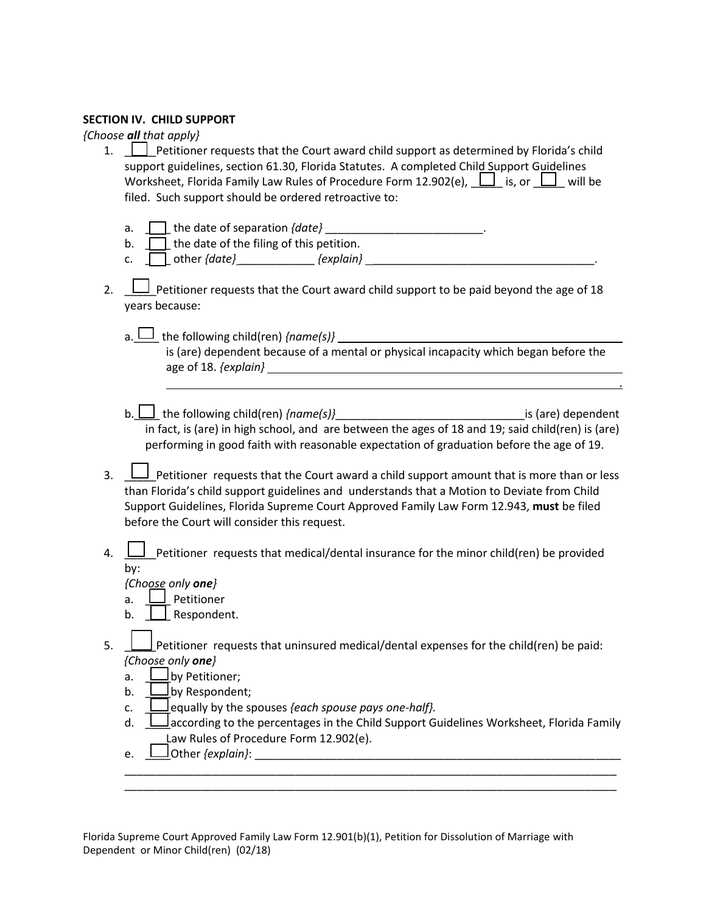#### **SECTION IV. CHILD SUPPORT**

*{Choose all that apply}*

- 1.  $\Box$  Petitioner requests that the Court award child support as determined by Florida's child support guidelines, section 61.30, Florida Statutes. A completed Child Support Guidelines Worksheet, Florida Family Law Rules of Procedure Form 12.902(e),  $\Box$  is, or  $\Box$  will be filed. Such support should be ordered retroactive to:
	- a.  $\Box$  the date of separation *{date}* \_\_\_\_\_\_\_\_\_\_\_\_\_\_\_\_\_\_\_\_\_\_\_\_\_\_\_.
	- b.  $\Box$  the date of the filing of this petition.
	- c. \_\_\_\_ other *{date}* \_\_\_\_\_\_\_\_\_\_\_\_ *{explain}* \_\_\_\_\_\_\_\_\_\_\_\_\_\_\_\_\_\_\_\_\_\_\_\_\_\_\_\_\_\_\_\_\_\_\_.
- 2.  $\Box$  Petitioner requests that the Court award child support to be paid beyond the age of 18 years because:
	- a.  $\Box$  the following child(ren) *{name(s)}*

is (are) dependent because of a mental or physical incapacity which began before the age of 18. *{explain}*

.

- b.\_\_\_\_ the following child(ren) *{name(s)}*\_\_\_\_\_\_\_\_\_\_\_\_\_\_\_\_\_\_\_\_\_\_\_\_\_\_\_\_\_\_is (are) dependent in fact, is (are) in high school, and are between the ages of 18 and 19; said child(ren) is (are) performing in good faith with reasonable expectation of graduation before the age of 19.
- 3.  $\Box$  Petitioner requests that the Court award a child support amount that is more than or less than Florida's child support guidelines and understands that a Motion to Deviate from Child Support Guidelines, Florida Supreme Court Approved Family Law Form 12.943, **must** be filed before the Court will consider this request.
- 4.  $\Box$  Petitioner requests that medical/dental insurance for the minor child(ren) be provided by:

*{Choose only one}*

- a.  $\Box$  Petitioner
- b.  $\Box$  Respondent.
- 5.  $\Box$  Petitioner requests that uninsured medical/dental expenses for the child(ren) be paid:  *{Choose only one}*
	- a.  $\Box$  by Petitioner;
	- b.  $\Box$  by Respondent;
	- c. \_\_\_\_equally by the spouses *{each spouse pays one-half}.*
	- d. \_\_\_\_according to the percentages in the Child Support Guidelines Worksheet, Florida Family Law Rules of Procedure Form 12.902(e).

\_\_\_\_\_\_\_\_\_\_\_\_\_\_\_\_\_\_\_\_\_\_\_\_\_\_\_\_\_\_\_\_\_\_\_\_\_\_\_\_\_\_\_\_\_\_\_\_\_\_\_\_\_\_\_\_\_\_\_\_\_\_\_\_\_\_\_\_\_\_\_\_\_\_\_\_\_\_ \_\_\_\_\_\_\_\_\_\_\_\_\_\_\_\_\_\_\_\_\_\_\_\_\_\_\_\_\_\_\_\_\_\_\_\_\_\_\_\_\_\_\_\_\_\_\_\_\_\_\_\_\_\_\_\_\_\_\_\_\_\_\_\_\_\_\_\_\_\_\_\_\_\_\_\_\_\_

e. \_\_\_\_Other *{explain}*: \_\_\_\_\_\_\_\_\_\_\_\_\_\_\_\_\_\_\_\_\_\_\_\_\_\_\_\_\_\_\_\_\_\_\_\_\_\_\_\_\_\_\_\_\_\_\_\_\_\_\_\_\_\_\_\_\_\_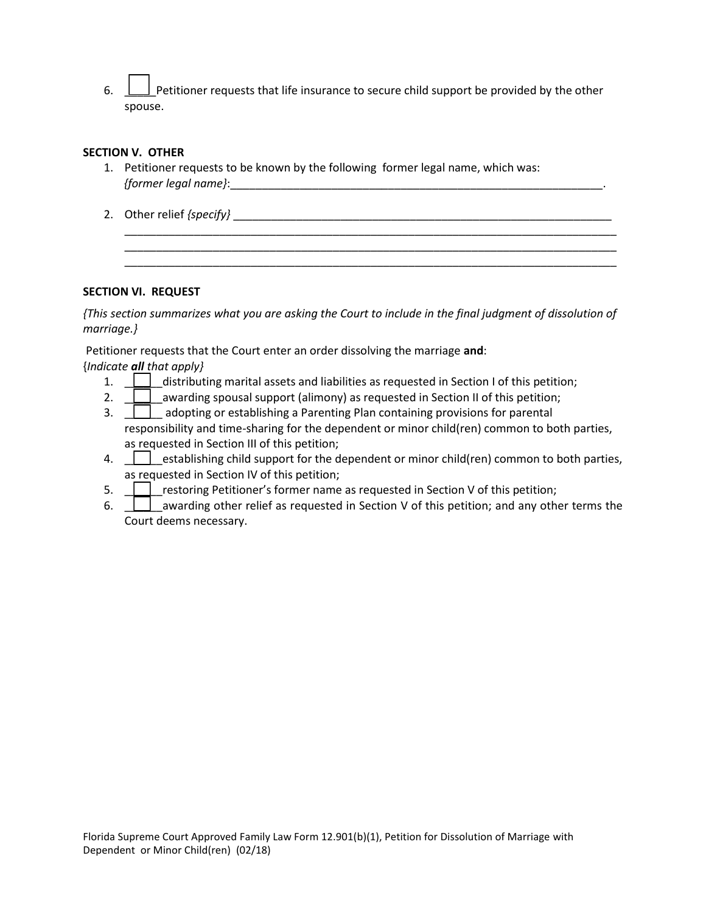6.  $\Box$  Petitioner requests that life insurance to secure child support be provided by the other spouse.

#### **SECTION V. OTHER**

- 1. Petitioner requests to be known by the following former legal name, which was: *{former legal name}*:\_\_\_\_\_\_\_\_\_\_\_\_\_\_\_\_\_\_\_\_\_\_\_\_\_\_\_\_\_\_\_\_\_\_\_\_\_\_\_\_\_\_\_\_\_\_\_\_\_\_\_\_\_\_\_\_\_\_\_.
- 2. Other relief *{specify}*

#### **SECTION VI. REQUEST**

*{This section summarizes what you are asking the Court to include in the final judgment of dissolution of marriage.}*

\_\_\_\_\_\_\_\_\_\_\_\_\_\_\_\_\_\_\_\_\_\_\_\_\_\_\_\_\_\_\_\_\_\_\_\_\_\_\_\_\_\_\_\_\_\_\_\_\_\_\_\_\_\_\_\_\_\_\_\_\_\_\_\_\_\_\_\_\_\_\_\_\_\_\_\_\_\_ \_\_\_\_\_\_\_\_\_\_\_\_\_\_\_\_\_\_\_\_\_\_\_\_\_\_\_\_\_\_\_\_\_\_\_\_\_\_\_\_\_\_\_\_\_\_\_\_\_\_\_\_\_\_\_\_\_\_\_\_\_\_\_\_\_\_\_\_\_\_\_\_\_\_\_\_\_\_ \_\_\_\_\_\_\_\_\_\_\_\_\_\_\_\_\_\_\_\_\_\_\_\_\_\_\_\_\_\_\_\_\_\_\_\_\_\_\_\_\_\_\_\_\_\_\_\_\_\_\_\_\_\_\_\_\_\_\_\_\_\_\_\_\_\_\_\_\_\_\_\_\_\_\_\_\_\_

Petitioner requests that the Court enter an order dissolving the marriage **and**:

{*Indicate all that apply}*

- 1. **distributing marital assets and liabilities as requested in Section I of this petition;**
- 2.  $\Box$  awarding spousal support (alimony) as requested in Section II of this petition;
- 3. **II** adopting or establishing a Parenting Plan containing provisions for parental responsibility and time-sharing for the dependent or minor child(ren) common to both parties, as requested in Section III of this petition;
- 4. **Example 1** establishing child support for the dependent or minor child(ren) common to both parties, as requested in Section IV of this petition;
- 5. **Letter** restoring Petitioner's former name as requested in Section V of this petition;
- 6. **Example 20 awarding other relief as requested in Section V of this petition; and any other terms the** Court deems necessary.